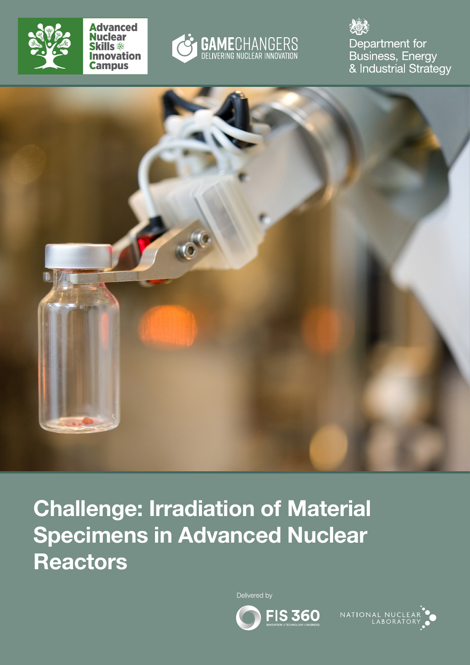







Department for **Business, Energy** & Industrial Strategy



Challenge: Irradiation of Material Specimens in Advanced Nuclear **Reactors** 

Delivered by



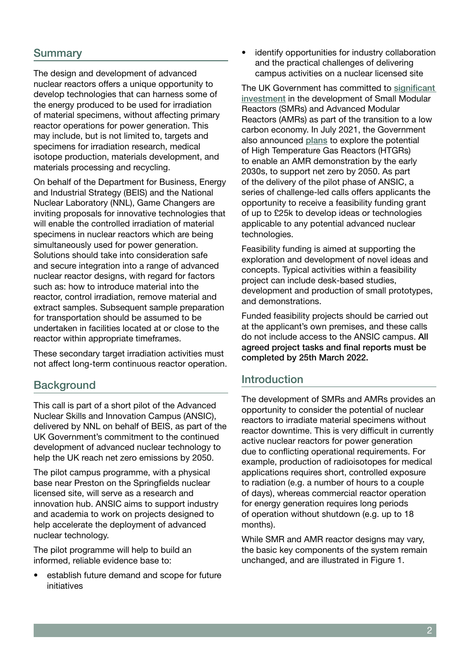#### Summary

The design and development of advanced nuclear reactors offers a unique opportunity to develop technologies that can harness some of the energy produced to be used for irradiation of material specimens, without affecting primary reactor operations for power generation. This may include, but is not limited to, targets and specimens for irradiation research, medical isotope production, materials development, and materials processing and recycling.

On behalf of the Department for Business, Energy and Industrial Strategy (BEIS) and the National Nuclear Laboratory (NNL), Game Changers are inviting proposals for innovative technologies that will enable the controlled irradiation of material specimens in nuclear reactors which are being simultaneously used for power generation. Solutions should take into consideration safe and secure integration into a range of advanced nuclear reactor designs, with regard for factors such as: how to introduce material into the reactor, control irradiation, remove material and extract samples. Subsequent sample preparation for transportation should be assumed to be undertaken in facilities located at or close to the reactor within appropriate timeframes.

These secondary target irradiation activities must not affect long-term continuous reactor operation.

### **Background**

This call is part of a short pilot of the Advanced Nuclear Skills and Innovation Campus (ANSIC), delivered by NNL on behalf of BEIS, as part of the UK Government's commitment to the continued development of advanced nuclear technology to help the UK reach net zero emissions by 2050.

The pilot campus programme, with a physical base near Preston on the Springfields nuclear licensed site, will serve as a research and innovation hub. ANSIC aims to support industry and academia to work on projects designed to help accelerate the deployment of advanced nuclear technology.

The pilot programme will help to build an informed, reliable evidence base to:

establish future demand and scope for future initiatives

identify opportunities for industry collaboration and the practical challenges of delivering campus activities on a nuclear licensed site

The UK Government has committed to [significant](https://www.gov.uk/government/publications/the-ten-point-plan-for-a-green-industrial-revolution)  [investment](https://www.gov.uk/government/publications/the-ten-point-plan-for-a-green-industrial-revolution) in the development of Small Modular Reactors (SMRs) and Advanced Modular Reactors (AMRs) as part of the transition to a low carbon economy. In July 2021, the Government also announced [plans](https://www.gov.uk/government/consultations/potential-of-high-temperature-gas-reactors-to-support-the-amr-rd-demonstration-programme-call-for-evidence) to explore the potential of High Temperature Gas Reactors (HTGRs) to enable an AMR demonstration by the early 2030s, to support net zero by 2050. As part of the delivery of the pilot phase of ANSIC, a series of challenge-led calls offers applicants the opportunity to receive a feasibility funding grant of up to £25k to develop ideas or technologies applicable to any potential advanced nuclear technologies.

Feasibility funding is aimed at supporting the exploration and development of novel ideas and concepts. Typical activities within a feasibility project can include desk-based studies, development and production of small prototypes, and demonstrations.

Funded feasibility projects should be carried out at the applicant's own premises, and these calls do not include access to the ANSIC campus. All agreed project tasks and final reports must be completed by 25th March 2022.

### Introduction

The development of SMRs and AMRs provides an opportunity to consider the potential of nuclear reactors to irradiate material specimens without reactor downtime. This is very difficult in currently active nuclear reactors for power generation due to conflicting operational requirements. For example, production of radioisotopes for medical applications requires short, controlled exposure to radiation (e.g. a number of hours to a couple of days), whereas commercial reactor operation for energy generation requires long periods of operation without shutdown (e.g. up to 18 months).

While SMR and AMR reactor designs may vary, the basic key components of the system remain unchanged, and are illustrated in Figure 1.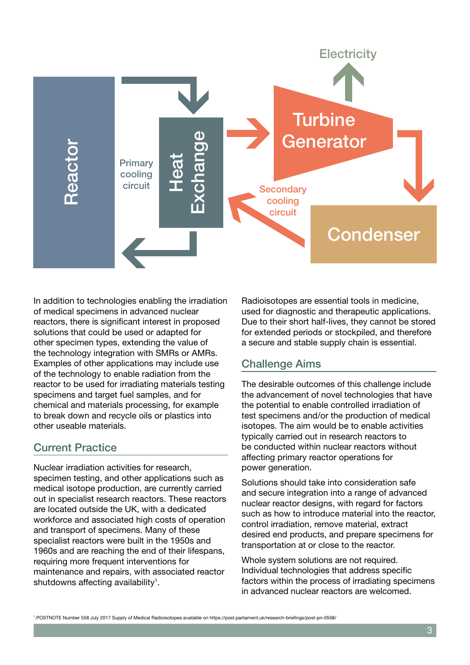

In addition to technologies enabling the irradiation of medical specimens in advanced nuclear reactors, there is significant interest in proposed solutions that could be used or adapted for other specimen types, extending the value of the technology integration with SMRs or AMRs. Examples of other applications may include use of the technology to enable radiation from the reactor to be used for irradiating materials testing specimens and target fuel samples, and for chemical and materials processing, for example to break down and recycle oils or plastics into other useable materials.

#### Current Practice

Nuclear irradiation activities for research, specimen testing, and other applications such as medical isotope production, are currently carried out in specialist research reactors. These reactors are located outside the UK, with a dedicated workforce and associated high costs of operation and transport of specimens. Many of these specialist reactors were built in the 1950s and 1960s and are reaching the end of their lifespans, requiring more frequent interventions for maintenance and repairs, with associated reactor shutdowns affecting availability $1$ .

Radioisotopes are essential tools in medicine, used for diagnostic and therapeutic applications. Due to their short half-lives, they cannot be stored for extended periods or stockpiled, and therefore a secure and stable supply chain is essential.

## Challenge Aims

The desirable outcomes of this challenge include the advancement of novel technologies that have the potential to enable controlled irradiation of test specimens and/or the production of medical isotopes. The aim would be to enable activities typically carried out in research reactors to be conducted within nuclear reactors without affecting primary reactor operations for power generation.

Solutions should take into consideration safe and secure integration into a range of advanced nuclear reactor designs, with regard for factors such as how to introduce material into the reactor, control irradiation, remove material, extract desired end products, and prepare specimens for transportation at or close to the reactor.

Whole system solutions are not required. Individual technologies that address specific factors within the process of irradiating specimens in advanced nuclear reactors are welcomed.

1 .POSTNOTE Number 558 July 2017 Supply of Medical Radioisotopes available on <https://post.parliament.uk/research-briefings/post-pn-0558/>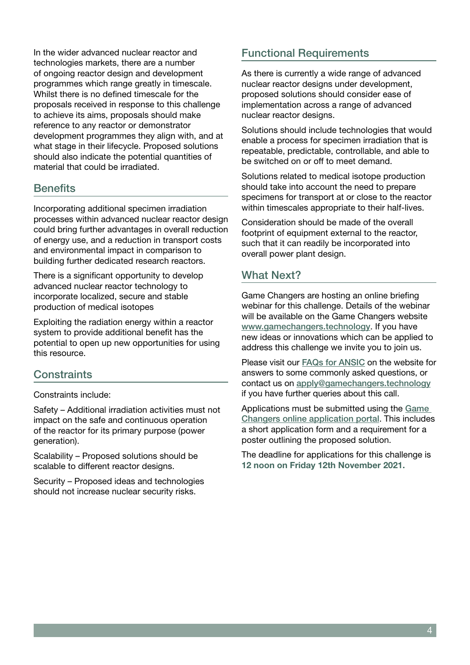In the wider advanced nuclear reactor and technologies markets, there are a number of ongoing reactor design and development programmes which range greatly in timescale. Whilst there is no defined timescale for the proposals received in response to this challenge to achieve its aims, proposals should make reference to any reactor or demonstrator development programmes they align with, and at what stage in their lifecycle. Proposed solutions should also indicate the potential quantities of material that could be irradiated.

### **Benefits**

Incorporating additional specimen irradiation processes within advanced nuclear reactor design could bring further advantages in overall reduction of energy use, and a reduction in transport costs and environmental impact in comparison to building further dedicated research reactors.

There is a significant opportunity to develop advanced nuclear reactor technology to incorporate localized, secure and stable production of medical isotopes

Exploiting the radiation energy within a reactor system to provide additional benefit has the potential to open up new opportunities for using this resource.

### **Constraints**

Constraints include:

Safety – Additional irradiation activities must not impact on the safe and continuous operation of the reactor for its primary purpose (power generation).

Scalability – Proposed solutions should be scalable to different reactor designs.

Security – Proposed ideas and technologies should not increase nuclear security risks.

#### Functional Requirements

As there is currently a wide range of advanced nuclear reactor designs under development, proposed solutions should consider ease of implementation across a range of advanced nuclear reactor designs.

Solutions should include technologies that would enable a process for specimen irradiation that is repeatable, predictable, controllable, and able to be switched on or off to meet demand.

Solutions related to medical isotope production should take into account the need to prepare specimens for transport at or close to the reactor within timescales appropriate to their half-lives.

Consideration should be made of the overall footprint of equipment external to the reactor. such that it can readily be incorporated into overall power plant design.

#### What Next?

Game Changers are hosting an online briefing webinar for this challenge. Details of the webinar will be available on the Game Changers website [www.gamechangers.technology](http://www.gamechangers.technology/). If you have new ideas or innovations which can be applied to address this challenge we invite you to join us.

Please visit our [FAQs for ANSIC](https://www.gamechangers.technology/partners/611fb603104a0d0712a92c97) on the website for answers to some commonly asked questions, or contact us on [apply@gamechangers.technology](mailto:mailto:apply%40gamechangers.technology?subject=) if you have further queries about this call.

Applications must be submitted using the [Game](https://www.gamechangers.technology/challenge)  [Changers online application portal](https://www.gamechangers.technology/challenge). This includes a short application form and a requirement for a poster outlining the proposed solution.

The deadline for applications for this challenge is 12 noon on Friday 12th November 2021.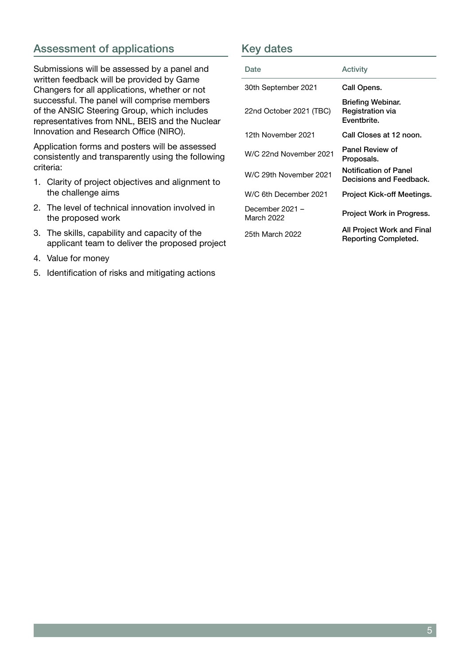# Assessment of applications

Submissions will be assessed by a panel and written feedback will be provided by Game Changers for all applications, whether or not successful. The panel will comprise members of the ANSIC Steering Group, which includes representatives from NNL, BEIS and the Nuclear Innovation and Research Office (NIRO).

Application forms and posters will be assessed consistently and transparently using the following criteria:

- 1. Clarity of project objectives and alignment to the challenge aims
- 2. The level of technical innovation involved in the proposed work
- 3. The skills, capability and capacity of the applicant team to deliver the proposed project
- 4. Value for money
- 5. Identification of risks and mitigating actions

### Key dates

| Date                          | <b>Activity</b>                                             |
|-------------------------------|-------------------------------------------------------------|
| 30th September 2021           | Call Opens.                                                 |
| 22nd October 2021 (TBC)       | Briefing Webinar.<br><b>Registration via</b><br>Eventbrite. |
| 12th November 2021            | Call Closes at 12 noon.                                     |
| W/C 22nd November 2021        | Panel Review of<br>Proposals.                               |
| W/C 29th November 2021        | Notification of Panel<br>Decisions and Feedback.            |
| W/C 6th December 2021         | Project Kick-off Meetings.                                  |
| December 2021 -<br>March 2022 | Project Work in Progress.                                   |
| 25th March 2022               | All Project Work and Final<br><b>Reporting Completed.</b>   |